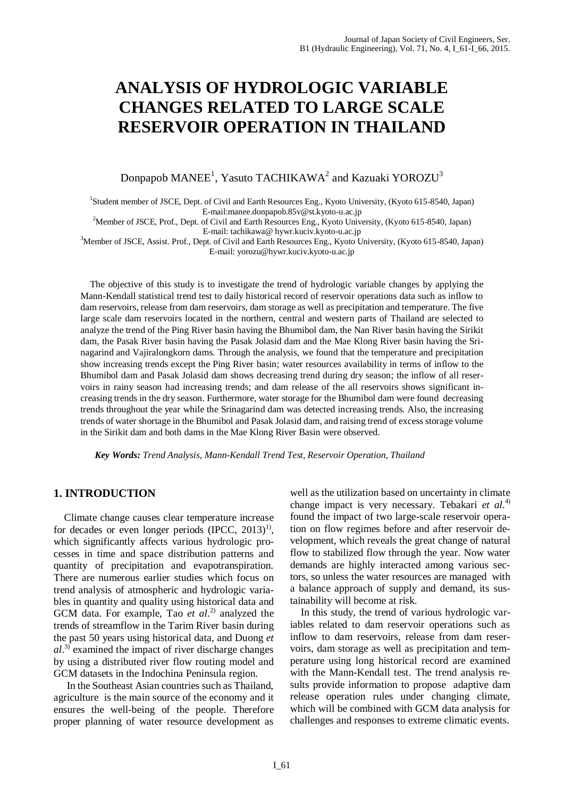# **ANALYSIS OF HYDROLOGIC VARIABLE CHANGES RELATED TO LARGE SCALE RESERVOIR OPERATION IN THAILAND**

Donpapob MANEE $^1$ , Yasuto TACHIKAWA $^2$  and Kazuaki YOROZU $^3$ 

<sup>1</sup>Student member of JSCE, Dept. of Civil and Earth Resources Eng., Kyoto University, (Kyoto 615-8540, Japan) E-mail:manee.donpapob.85v@st.kyoto-u.ac.jp

<sup>2</sup>Member of JSCE, Prof., Dept. of Civil and Earth Resources Eng., Kyoto University, (Kyoto 615-8540, Japan) E-mail: tachikawa@ hywr.kuciv.kyoto-u.ac.jp

<sup>3</sup>Member of JSCE, Assist. Prof., Dept. of Civil and Earth Resources Eng., Kyoto University, (Kyoto 615-8540, Japan) E-mail: yorozu@hywr.kuciv.kyoto-u.ac.jp

The objective of this study is to investigate the trend of hydrologic variable changes by applying the Mann-Kendall statistical trend test to daily historical record of reservoir operations data such as inflow to dam reservoirs, release from dam reservoirs, dam storage as well as precipitation and temperature. The five large scale dam reservoirs located in the northern, central and western parts of Thailand are selected to analyze the trend of the Ping River basin having the Bhumibol dam, the Nan River basin having the Sirikit dam, the Pasak River basin having the Pasak Jolasid dam and the Mae Klong River basin having the Srinagarind and Vajiralongkorn dams. Through the analysis, we found that the temperature and precipitation show increasing trends except the Ping River basin; water resources availability in terms of inflow to the Bhumibol dam and Pasak Jolasid dam shows decreasing trend during dry season; the inflow of all reservoirs in rainy season had increasing trends; and dam release of the all reservoirs shows significant increasing trends in the dry season. Furthermore, water storage for the Bhumibol dam were found decreasing trends throughout the year while the Srinagarind dam was detected increasing trends. Also, the increasing trends of water shortage in the Bhumibol and Pasak Jolasid dam, and raising trend of excess storage volume in the Sirikit dam and both dams in the Mae Klong River Basin were observed.

 *Key Words: Trend Analysis, Mann-Kendall Trend Test, Reservoir Operation, Thailand* 

# **1. INTRODUCTION**

 Climate change causes clear temperature increase for decades or even longer periods  $(IPCC, 2013)^{1}$ , which significantly affects various hydrologic processes in time and space distribution patterns and quantity of precipitation and evapotranspiration. There are numerous earlier studies which focus on trend analysis of atmospheric and hydrologic variables in quantity and quality using historical data and GCM data. For example, Tao *et al*. 2) analyzed the trends of streamflow in the Tarim River basin during the past 50 years using historical data, and Duong *et al*. 3) examined the impact of river discharge changes by using a distributed river flow routing model and GCM datasets in the Indochina Peninsula region.

 In the Southeast Asian countries such as Thailand, agriculture is the main source of the economy and it ensures the well-being of the people. Therefore proper planning of water resource development as

well as the utilization based on uncertainty in climate change impact is very necessary. Tebakari *et al*. 4) found the impact of two large-scale reservoir operation on flow regimes before and after reservoir development, which reveals the great change of natural flow to stabilized flow through the year. Now water demands are highly interacted among various sectors, so unless the water resources are managed with a balance approach of supply and demand, its sustainability will become at risk.

 In this study, the trend of various hydrologic variables related to dam reservoir operations such as inflow to dam reservoirs, release from dam reservoirs, dam storage as well as precipitation and temperature using long historical record are examined with the Mann-Kendall test. The trend analysis results provide information to propose adaptive dam release operation rules under changing climate, which will be combined with GCM data analysis for challenges and responses to extreme climatic events.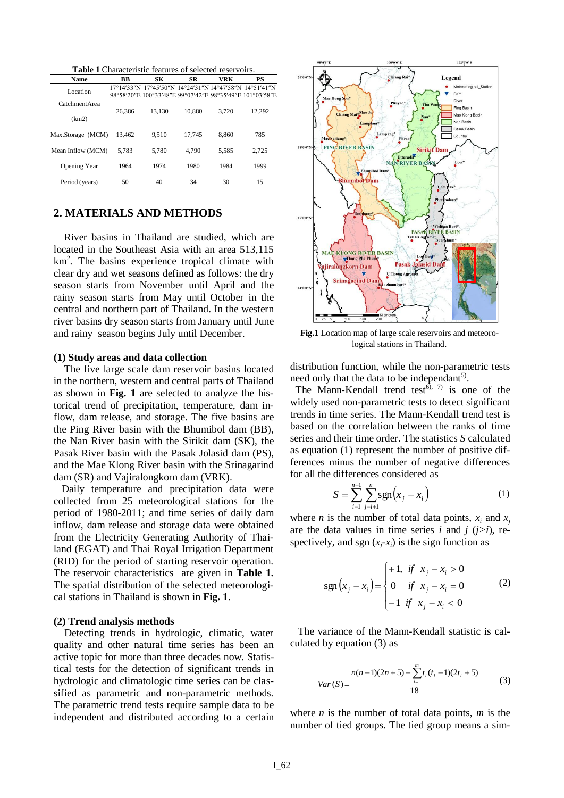|      | <b>Table 1</b> Characteristic features of selected reservoirs. |     |    |     |    |
|------|----------------------------------------------------------------|-----|----|-----|----|
| Nome | RR                                                             | SV. | CD | VDK | DС |

| <b>Name</b>       | ВB     | SК                                                       | SR     | VRK   | PS     |
|-------------------|--------|----------------------------------------------------------|--------|-------|--------|
| Location          |        | 17°14'33"N 17°45'50"N 14°24'31"N 14°47'58"N 14°51'41"N   |        |       |        |
|                   |        | 98°58'20"E 100°33'48"E 99°07'42"E 98°35'49"E 101°03'58"E |        |       |        |
| Catchment Area    |        |                                                          |        |       |        |
|                   | 26.386 | 13.130                                                   | 10.880 | 3.720 | 12.292 |
| (km2)             |        |                                                          |        |       |        |
| Max.Storage (MCM) | 13.462 | 9.510                                                    | 17.745 | 8.860 | 785    |
|                   |        |                                                          |        |       |        |
| Mean Inflow (MCM) | 5.783  | 5.780                                                    | 4.790  | 5.585 | 2,725  |
|                   |        |                                                          |        |       |        |
| Opening Year      | 1964   | 1974                                                     | 1980   | 1984  | 1999   |
|                   |        |                                                          |        |       |        |
| Period (years)    | 50     | 40                                                       | 34     | 30    | 15     |
|                   |        |                                                          |        |       |        |

# **2. MATERIALS AND METHODS**

 River basins in Thailand are studied, which are located in the Southeast Asia with an area 513,115 km<sup>2</sup>. The basins experience tropical climate with clear dry and wet seasons defined as follows: the dry season starts from November until April and the rainy season starts from May until October in the central and northern part of Thailand. In the western river basins dry season starts from January until June and rainy season begins July until December.

#### **(1) Study areas and data collection**

 The five large scale dam reservoir basins located in the northern, western and central parts of Thailand as shown in **Fig. 1** are selected to analyze the historical trend of precipitation, temperature, dam inflow, dam release, and storage. The five basins are the Ping River basin with the Bhumibol dam (BB), the Nan River basin with the Sirikit dam (SK), the Pasak River basin with the Pasak Jolasid dam (PS), and the Mae Klong River basin with the Srinagarind dam (SR) and Vajiralongkorn dam (VRK).

 Daily temperature and precipitation data were collected from 25 meteorological stations for the period of 1980-2011; and time series of daily dam inflow, dam release and storage data were obtained from the Electricity Generating Authority of Thailand (EGAT) and Thai Royal Irrigation Department (RID) for the period of starting reservoir operation. The reservoir characteristics are given in **Table 1.**  The spatial distribution of the selected meteorological stations in Thailand is shown in **Fig. 1**.

#### **(2) Trend analysis methods**

 Detecting trends in hydrologic, climatic, water quality and other natural time series has been an active topic for more than three decades now. Statistical tests for the detection of significant trends in hydrologic and climatologic time series can be classified as parametric and non-parametric methods. The parametric trend tests require sample data to be independent and distributed according to a certain



**Fig.1** Location map of large scale reservoirs and meteorological stations in Thailand.

distribution function, while the non-parametric tests need only that the data to be independant<sup>5)</sup>.

The Mann-Kendall trend test<sup> $6, 7$ </sup> is one of the widely used non-parametric tests to detect significant trends in time series. The Mann-Kendall trend test is based on the correlation between the ranks of time series and their time order. The statistics *S* calculated as equation (1) represent the number of positive differences minus the number of negative differences for all the differences considered as

$$
S = \sum_{i=1}^{n-1} \sum_{j=i+1}^{n} \text{sgn}(x_j - x_i)
$$
 (1)

where *n* is the number of total data points,  $x_i$  and  $x_j$ are the data values in time series *i* and *j*  $(j>i)$ , respectively, and sgn  $(x_j - x_i)$  is the sign function as

$$
sgn(x_j - x_i) = \begin{cases} +1, & \text{if } x_j - x_i > 0 \\ 0 & \text{if } x_j - x_i = 0 \\ -1 & \text{if } x_j - x_i < 0 \end{cases}
$$
 (2)

 The variance of the Mann-Kendall statistic is calculated by equation (3) as

$$
Var(S) = \frac{n(n-1)(2n+5) - \sum_{i=1}^{m} t_i(t_i - 1)(2t_i + 5)}{18}
$$
 (3)

where *n* is the number of total data points, *m* is the number of tied groups. The tied group means a sim-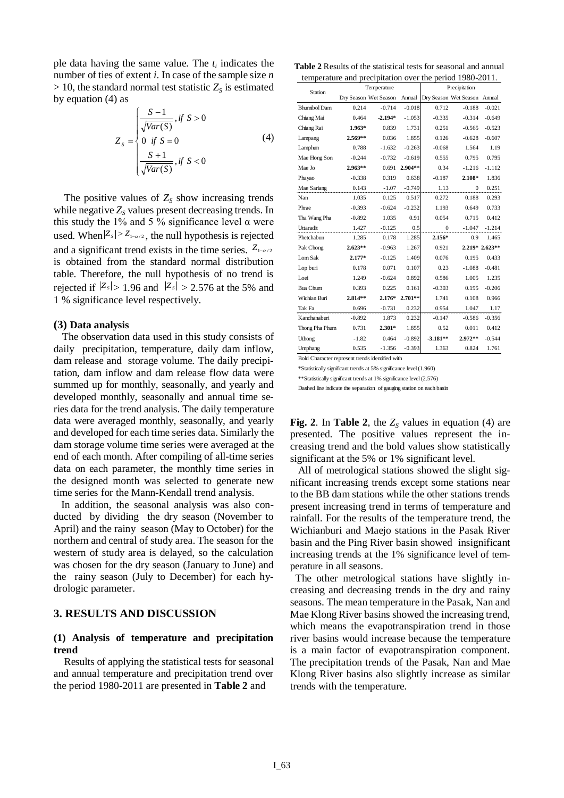ple data having the same value. The *t<sup>i</sup>* indicates the number of ties of extent *i*. In case of the sample size *n*   $> 10$ , the standard normal test statistic  $Z<sub>S</sub>$  is estimated by equation (4) as

$$
Z_{s} = \begin{cases} \frac{S-1}{\sqrt{Var(S)}}, & \text{if } S > 0\\ 0 & \text{if } S = 0\\ \frac{S+1}{\sqrt{Var(S)}}, & \text{if } S < 0 \end{cases}
$$
(4)

The positive values of  $Z<sub>S</sub>$  show increasing trends while negative  $Z_s$  values present decreasing trends. In this study the 1% and 5 % significance level  $\alpha$  were used. When  $|Z_s| > Z_{1-\alpha/2}$ , the null hypothesis is rejected and a significant trend exists in the time series.  $Z_{1-\alpha/2}$ is obtained from the standard normal distribution table. Therefore, the null hypothesis of no trend is rejected if  $|Z_s| > 1.96$  and  $|Z_s| > 2.576$  at the 5% and 1 % significance level respectively.

## **(3) Data analysis**

The observation data used in this study consists of daily precipitation, temperature, daily dam inflow, dam release and storage volume. The daily precipitation, dam inflow and dam release flow data were summed up for monthly, seasonally, and yearly and developed monthly, seasonally and annual time series data for the trend analysis. The daily temperature data were averaged monthly, seasonally, and yearly and developed for each time series data. Similarly the dam storage volume time series were averaged at the end of each month. After compiling of all-time series data on each parameter, the monthly time series in the designed month was selected to generate new time series for the Mann-Kendall trend analysis.

 In addition, the seasonal analysis was also conducted by dividing the dry season (November to April) and the rainy season (May to October) for the northern and central of study area. The season for the western of study area is delayed, so the calculation was chosen for the dry season (January to June) and the rainy season (July to December) for each hydrologic parameter.

# **3. RESULTS AND DISCUSSION**

# **(1) Analysis of temperature and precipitation trend**

 Results of applying the statistical tests for seasonal and annual temperature and precipitation trend over the period 1980-2011 are presented in **Table 2** and

**Table 2** Results of the statistical tests for seasonal and annual temperature and precipitation over the period 1980-2011.

| Station             | Temperature |                       | Precipitation |            |                              |                |
|---------------------|-------------|-----------------------|---------------|------------|------------------------------|----------------|
|                     |             | Dry Season Wet Season | Annual        |            | Dry Season Wet Season Annual |                |
| <b>Bhumibol Dam</b> | 0.214       | $-0.714$              | $-0.018$      | 0.712      | $-0.188$                     | $-0.021$       |
| Chiang Mai          | 0.464       | $-2.194*$             | $-1.053$      | $-0.335$   | $-0.314$                     | $-0.649$       |
| Chiang Rai          | $1.963*$    | 0.839                 | 1.731         | 0.251      | $-0.565$                     | $-0.523$       |
| Lampang             | $2.569**$   | 0.036                 | 1.855         | 0.126      | $-0.628$                     | $-0.607$       |
| Lamphun             | 0.788       | $-1.632$              | $-0.263$      | $-0.068$   | 1.564                        | 1.19           |
| Mae Hong Son        | $-0.244$    | $-0.732$              | $-0.619$      | 0.555      | 0.795                        | 0.795          |
| Mae Jo              | $2.963**$   | 0.691                 | $2.904**$     | 0.34       | $-1.216$                     | $-1.112$       |
| Phayao              | $-0.338$    | 0.319                 | 0.638         | $-0.187$   | 2.108*                       | 1.836          |
| Mae Sariang         | 0.143       | $-1.07$               | $-0.749$      | 1.13       | $\mathbf{0}$                 | 0.251          |
| Nan                 | 1.035       | 0.125                 | 0.517         | 0.272      | 0.188                        | 0.293          |
| Phrae               | $-0.393$    | $-0.624$              | $-0.232$      | 1.193      | 0.649                        | 0.733          |
| Tha Wang Pha        | $-0.892$    | 1.035                 | 0.91          | 0.054      | 0.715                        | 0.412          |
| Uttaradit           | 1.427       | $-0.125$              | 0.5           | $\Omega$   | $-1.047$                     | $-1.214$       |
| Phetchabun          | 1.285       | 0.178                 | 1.285         | $2.156*$   | 0.9                          | 1.465          |
| Pak Chong           | $2.623**$   | $-0.963$              | 1.267         | 0.921      |                              | 2.219* 2.623** |
| Lom Sak             | $2.177*$    | $-0.125$              | 1.409         | 0.076      | 0.195                        | 0.433          |
| Lop buri            | 0.178       | 0.071                 | 0.107         | 0.23       | $-1.088$                     | $-0.481$       |
| Loei                | 1.249       | $-0.624$              | 0.892         | 0.586      | 1.005                        | 1.235          |
| <b>Bua Chum</b>     | 0.393       | 0.225                 | 0.161         | $-0.303$   | 0.195                        | $-0.206$       |
| Wichian Buri        | 2.814**     | $2.176*$              | $2.701**$     | 1.741      | 0.108                        | 0.966          |
| Tak Fa              | 0.696       | $-0.731$              | 0.232         | 0.954      | 1.047                        | 1.17           |
| Kanchanaburi        | $-0.892$    | 1.873                 | 0.232         | $-0.147$   | $-0.586$                     | $-0.356$       |
| Thong Pha Phum      | 0.731       | $2.301*$              | 1.855         | 0.52       | 0.011                        | 0.412          |
| Uthong              | $-1.82$     | 0.464                 | $-0.892$      | $-3.181**$ | $2.972**$                    | $-0.544$       |
| Umphang             | 0.535       | $-1.356$              | $-0.393$      | 1.363      | 0.824                        | 1.761          |

Bold Character represent trends identified with

\*Statistically significant trends at 5% significance level (1.960) \*\*Statistically significant trends at 1% significance level (2.576)

Dashed line indicate the separation of gauging station on each basin

**Fig. 2**. In **Table 2**, the  $Z_s$  values in equation (4) are presented. The positive values represent the increasing trend and the bold values show statistically significant at the 5% or 1% significant level.

 All of metrological stations showed the slight significant increasing trends except some stations near to the BB dam stations while the other stations trends present increasing trend in terms of temperature and rainfall. For the results of the temperature trend, the Wichianburi and Maejo stations in the Pasak River basin and the Ping River basin showed insignificant increasing trends at the 1% significance level of temperature in all seasons.

 The other metrological stations have slightly increasing and decreasing trends in the dry and rainy seasons. The mean temperature in the Pasak, Nan and Mae Klong River basins showed the increasing trend, which means the evapotranspiration trend in those river basins would increase because the temperature is a main factor of evapotranspiration component. The precipitation trends of the Pasak, Nan and Mae Klong River basins also slightly increase as similar trends with the temperature.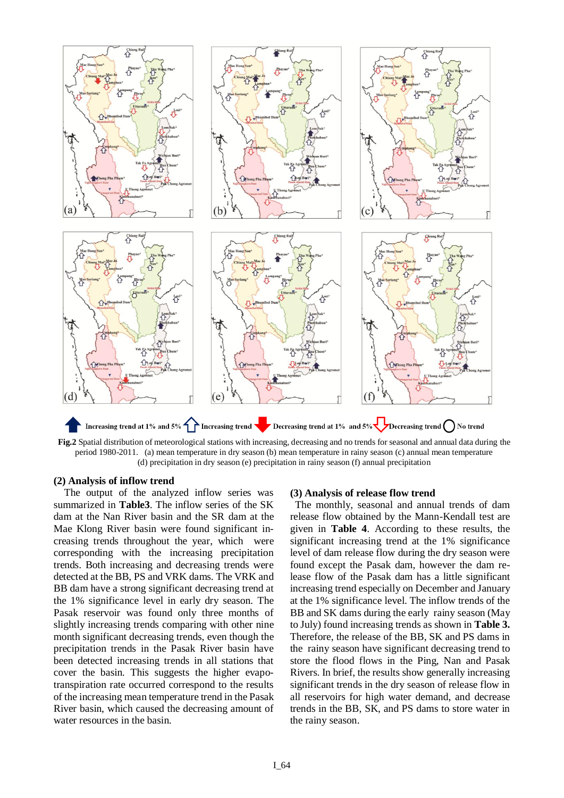

**Fig.2** Spatial distribution of meteorological stations with increasing, decreasing and no trends for seasonal and annual data during the period 1980-2011. (a) mean temperature in dry season (b) mean temperature in rainy season (c) annual mean temperature (d) precipitation in dry season (e) precipitation in rainy season (f) annual precipitation

## **(2) Analysis of inflow trend**

 The output of the analyzed inflow series was summarized in **Table3**. The inflow series of the SK dam at the Nan River basin and the SR dam at the Mae Klong River basin were found significant increasing trends throughout the year, which were corresponding with the increasing precipitation trends. Both increasing and decreasing trends were detected at the BB, PS and VRK dams. The VRK and BB dam have a strong significant decreasing trend at the 1% significance level in early dry season. The Pasak reservoir was found only three months of slightly increasing trends comparing with other nine month significant decreasing trends, even though the precipitation trends in the Pasak River basin have been detected increasing trends in all stations that cover the basin. This suggests the higher evapotranspiration rate occurred correspond to the results of the increasing mean temperature trend in the Pasak River basin, which caused the decreasing amount of water resources in the basin.

#### **(3) Analysis of release flow trend**

 The monthly, seasonal and annual trends of dam release flow obtained by the Mann-Kendall test are given in **Table 4**. According to these results, the significant increasing trend at the 1% significance level of dam release flow during the dry season were found except the Pasak dam, however the dam release flow of the Pasak dam has a little significant increasing trend especially on December and January at the 1% significance level. The inflow trends of the BB and SK dams during the early rainy season (May to July) found increasing trends as shown in **Table 3.**  Therefore, the release of the BB, SK and PS dams in the rainy season have significant decreasing trend to store the flood flows in the Ping, Nan and Pasak Rivers. In brief, the results show generally increasing significant trends in the dry season of release flow in all reservoirs for high water demand, and decrease trends in the BB, SK, and PS dams to store water in the rainy season.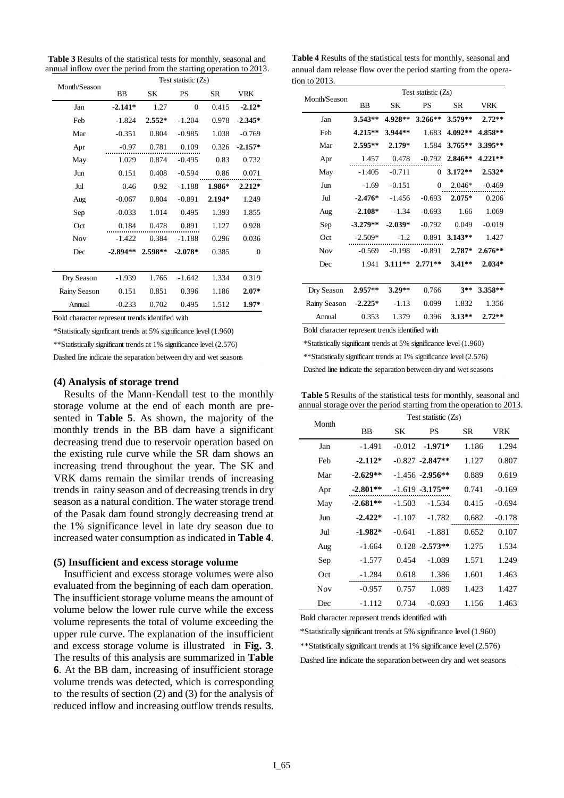**Table 3** Results of the statistical tests for monthly, seasonal and annual inflow over the period from the starting operation to 2013.

| Month/Season | BB         | SΚ       |           |        |                |
|--------------|------------|----------|-----------|--------|----------------|
|              |            |          | PS        | SR     | <b>VRK</b>     |
| Jan          | $-2.141*$  | 1.27     | $\theta$  | 0.415  | $-2.12*$       |
| Feb          | $-1.824$   | $2.552*$ | $-1.204$  | 0.978  | $-2.345*$      |
| Mar          | $-0.351$   | 0.804    | $-0.985$  | 1.038  | $-0.769$       |
| Apr          | $-0.97$    | 0.781    | 0.109     | 0.326  | $-2.157*$      |
| May          | 1.029      | 0.874    | $-0.495$  | 0.83   | 0.732          |
| Jun          | 0.151      | 0.408    | $-0.594$  | 0.86   | 0.071          |
| Jul          | 0.46       | 0.92     | $-1.188$  | 1.986* | $2.212*$       |
| Aug          | $-0.067$   | 0.804    | $-0.891$  | 2.194* | 1.249          |
| Sep          | $-0.033$   | 1.014    | 0.495     | 1.393  | 1.855          |
| Oct          | 0.184      | 0.478    | 0.891     | 1.127  | 0.928          |
| <b>Nov</b>   | $-1.422$   | 0.384    | $-1.188$  | 0.296  | 0.036          |
| Dec          | $-2.894**$ | 2.598**  | $-2.078*$ | 0.385  | $\overline{0}$ |
|              |            |          |           |        |                |
| Dry Season   | $-1.939$   | 1.766    | $-1.642$  | 1.334  | 0.319          |
| Rainy Season | 0.151      | 0.851    | 0.396     | 1.186  | $2.07*$        |
| Annual       | $-0.233$   | 0.702    | 0.495     | 1.512  | $1.97*$        |

Bold character represent trends identified with

\*Statistically significant trends at 5% significance level (1.960)

\*\*Statistically significant trends at 1% significance level (2.576)

Dashed line indicate the separation between dry and wet seasons

#### **(4) Analysis of storage trend**

 Results of the Mann-Kendall test to the monthly storage volume at the end of each month are presented in **Table 5**. As shown, the majority of the monthly trends in the BB dam have a significant decreasing trend due to reservoir operation based on the existing rule curve while the SR dam shows an increasing trend throughout the year. The SK and VRK dams remain the similar trends of increasing trends in rainy season and of decreasing trends in dry season as a natural condition. The water storage trend of the Pasak dam found strongly decreasing trend at the 1% significance level in late dry season due to increased water consumption as indicated in **Table 4**.

#### **(5) Insufficient and excess storage volume**

 Insufficient and excess storage volumes were also evaluated from the beginning of each dam operation. The insufficient storage volume means the amount of volume below the lower rule curve while the excess volume represents the total of volume exceeding the upper rule curve. The explanation of the insufficient and excess storage volume is illustrated in **Fig. 3**. The results of this analysis are summarized in **Table 6**. At the BB dam, increasing of insufficient storage volume trends was detected, which is corresponding to the results of section (2) and (3) for the analysis of reduced inflow and increasing outflow trends results.

**Table 4** Results of the statistical tests for monthly, seasonal and annual dam release flow over the period starting from the operation to 2013.

| Month/Season |            |           | Test statistic (Zs) |                  |            |
|--------------|------------|-----------|---------------------|------------------|------------|
|              | <b>BB</b>  | SK        | <b>PS</b>           | SR               | <b>VRK</b> |
| Jan          | $3.543**$  | 4.928**   | $3.266**$           | $3.579**$ 2.72** |            |
| Feb          | $4.215**$  | 3.944**   | 1.683               | 4.092**          | 4.858**    |
| Mar          | 2.595**    | $2.179*$  | 1.584               | $3.765**$        | 3.395**    |
| Apr          | 1.457      | 0.478     | $-0.792$            | 2.846**          | $4.221**$  |
| May          | $-1.405$   | $-0.711$  | $\theta$            | $3.172**$        | $2.532*$   |
| Jun          | $-1.69$    | $-0.151$  | $\overline{0}$      | $2.046*$         | $-0.469$   |
| Jul          | $-2.476*$  | $-1.456$  | $-0.693$            | 2.075*           | 0.206      |
| Aug          | $-2.108*$  | $-1.34$   | $-0.693$            | 1.66             | 1.069      |
| Sep          | $-3.279**$ | $-2.039*$ | $-0.792$            | 0.049            | $-0.019$   |
| Oct          | $-2.509*$  | $-1.2$    | 0.891               | $3.143**$        | 1.427      |
| Nov          | $-0.569$   | $-0.198$  | $-0.891$            | $2.787*$         | $2.676**$  |
| Dec          | 1.941      | $3.111**$ | $2.771**$           | $3.41**$         | $2.034*$   |
|              |            |           |                     |                  |            |
| Dry Season   | 2.957**    | $3.29**$  | 0.766               | $3**$            | 3.358**    |
| Rainy Season | $-2.225*$  | $-1.13$   | 0.099               | 1.832            | 1.356      |
| Annual       | 0.353      | 1.379     | 0.396               | $3.13**$         | $2.72**$   |
|              |            |           |                     |                  |            |

Bold character represent trends identified with

\*Statistically significant trends at 5% significance level (1.960)

\*\*Statistically significant trends at 1% significance level (2.576)

Dashed line indicate the separation between dry and wet seasons

| Month      | Test statistic $(Zs)$ |          |                    |       |          |  |  |
|------------|-----------------------|----------|--------------------|-------|----------|--|--|
|            | <b>BB</b>             | SК       | PS                 | SR.   | VRK      |  |  |
| Jan        | $-1.491$              | $-0.012$ | $-1.971*$          | 1.186 | 1.294    |  |  |
| Feb        | $-2.112*$             |          | $-0.827 - 2.847**$ | 1.127 | 0.807    |  |  |
| Mar        | $-2.629**$            |          | $-1.456 - 2.956**$ | 0.889 | 0.619    |  |  |
| Apr        | $-2.801**$            |          | $-1.619 - 3.175**$ | 0.741 | $-0.169$ |  |  |
| May        | $-2.681**$            | -1.503   | $-1.534$           | 0.415 | $-0.694$ |  |  |
| Jun        | $-2.422*$             | $-1.107$ | $-1.782$           | 0.682 | $-0.178$ |  |  |
| Jul        | $-1.982*$             | $-0.641$ | $-1.881$           | 0.652 | 0.107    |  |  |
| Aug        | $-1.664$              |          | $0.128 - 2.573**$  | 1.275 | 1.534    |  |  |
| Sep        | $-1.577$              | 0.454    | $-1.089$           | 1.571 | 1.249    |  |  |
| Oct        | $-1.284$              | 0.618    | 1.386              | 1.601 | 1.463    |  |  |
| <b>Nov</b> | $-0.957$              | 0.757    | 1.089              | 1.423 | 1.427    |  |  |
| Dec        | $-1.112$              | 0.734    | $-0.693$           | 1.156 | 1.463    |  |  |

**Table 5** Results of the statistical tests for monthly, seasonal and annual storage over the period starting from the operation to 2013.

Bold character represent trends identified with

\*Statistically significant trends at 5% significance level (1.960) \*\*Statistically significant trends at 1% significance level (2.576) Dashed line indicate the separation between dry and wet seasons